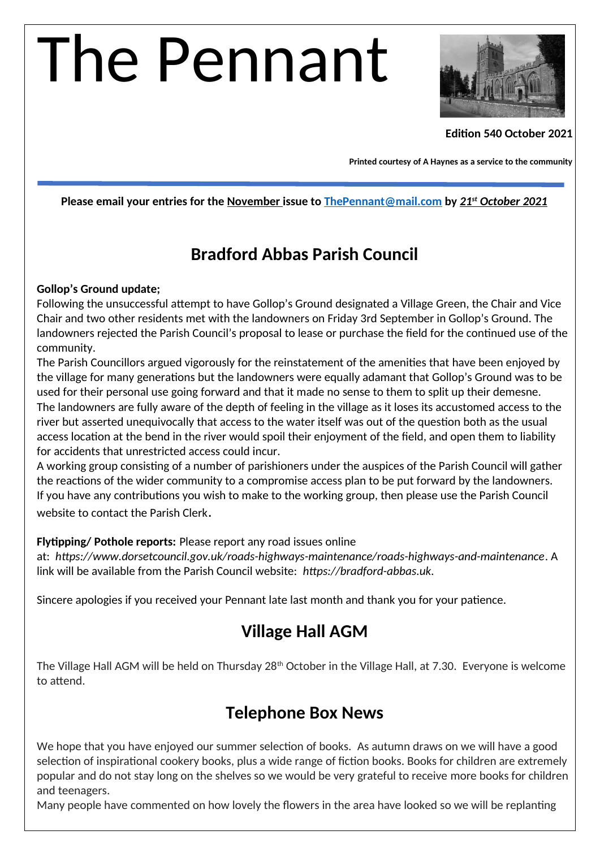# The Pennant



#### **Edition 540 October 2021**

**Printed courtesy of A Haynes as a service to the community**

#### **Please email your entries for the November issue to [ThePennant@mail.com](mailto:ThePennant@mail.com) by** *21st October 2021*

#### **Bradford Abbas Parish Council**

#### **Gollop's Ground update;**

Following the unsuccessful attempt to have Gollop's Ground designated a Village Green, the Chair and Vice Chair and two other residents met with the landowners on Friday 3rd September in Gollop's Ground. The landowners rejected the Parish Council's proposal to lease or purchase the field for the continued use of the community.

The Parish Councillors argued vigorously for the reinstatement of the amenities that have been enjoyed by the village for many generations but the landowners were equally adamant that Gollop's Ground was to be used for their personal use going forward and that it made no sense to them to split up their demesne. The landowners are fully aware of the depth of feeling in the village as it loses its accustomed access to the river but asserted unequivocally that access to the water itself was out of the question both as the usual access location at the bend in the river would spoil their enjoyment of the field, and open them to liability for accidents that unrestricted access could incur.

A working group consisting of a number of parishioners under the auspices of the Parish Council will gather the reactions of the wider community to a compromise access plan to be put forward by the landowners. If you have any contributions you wish to make to the working group, then please use the Parish Council website to contact the Parish Clerk.

#### **Flytipping/ Pothole reports:** Please report any road issues online

at: *https://www.dorsetcouncil.gov.uk/roads-highways-maintenance/roads-highways-and-maintenance*. A link will be available from the Parish Council website: *https://bradford-abbas.uk.*

Sincere apologies if you received your Pennant late last month and thank you for your patience.

#### **Village Hall AGM**

The Village Hall AGM will be held on Thursday 28<sup>th</sup> October in the Village Hall, at 7.30. Everyone is welcome to attend.

#### **Telephone Box News**

We hope that you have enjoyed our summer selection of books. As autumn draws on we will have a good selection of inspirational cookery books, plus a wide range of fiction books. Books for children are extremely popular and do not stay long on the shelves so we would be very grateful to receive more books for children and teenagers.

Many people have commented on how lovely the flowers in the area have looked so we will be replanting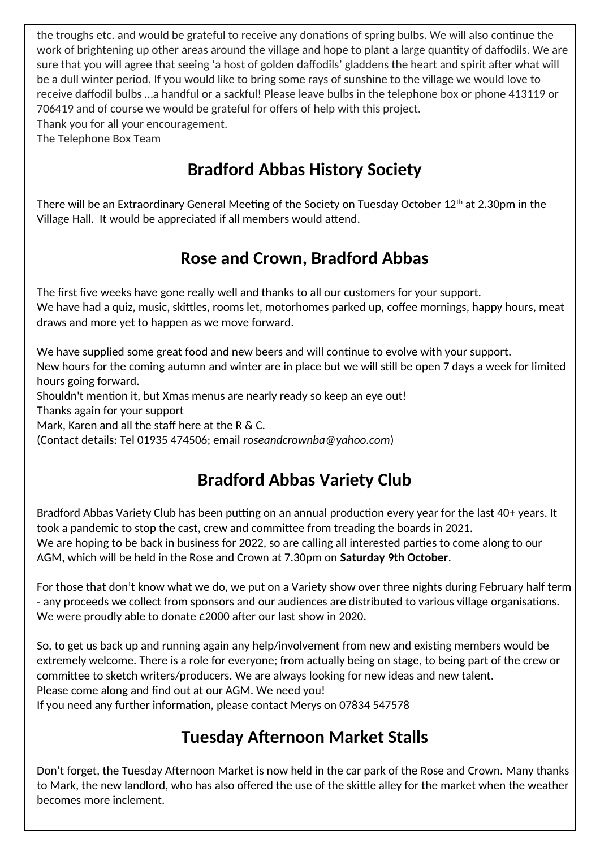the troughs etc. and would be grateful to receive any donations of spring bulbs. We will also continue the work of brightening up other areas around the village and hope to plant a large quantity of daffodils. We are sure that you will agree that seeing 'a host of golden daffodils' gladdens the heart and spirit after what will be a dull winter period. If you would like to bring some rays of sunshine to the village we would love to receive daffodil bulbs …a handful or a sackful! Please leave bulbs in the telephone box or phone 413119 or 706419 and of course we would be grateful for offers of help with this project. Thank you for all your encouragement.

The Telephone Box Team

# **Bradford Abbas History Society**

There will be an Extraordinary General Meeting of the Society on Tuesday October 12th at 2.30pm in the Village Hall. It would be appreciated if all members would attend.

#### **Rose and Crown, Bradford Abbas**

The first five weeks have gone really well and thanks to all our customers for your support. We have had a quiz, music, skittles, rooms let, motorhomes parked up, coffee mornings, happy hours, meat draws and more yet to happen as we move forward.

We have supplied some great food and new beers and will continue to evolve with your support. New hours for the coming autumn and winter are in place but we will still be open 7 days a week for limited hours going forward.

Shouldn't mention it, but Xmas menus are nearly ready so keep an eye out!

Thanks again for your support

Mark, Karen and all the staff here at the R & C.

(Contact details: Tel 01935 474506; email *roseandcrownba@yahoo.com*)

## **Bradford Abbas Variety Club**

Bradford Abbas Variety Club has been putting on an annual production every year for the last 40+ years. It took a pandemic to stop the cast, crew and committee from treading the boards in 2021. We are hoping to be back in business for 2022, so are calling all interested parties to come along to our AGM, which will be held in the Rose and Crown at 7.30pm on **Saturday 9th October**.

For those that don't know what we do, we put on a Variety show over three nights during February half term - any proceeds we collect from sponsors and our audiences are distributed to various village organisations. We were proudly able to donate £2000 after our last show in 2020.

So, to get us back up and running again any help/involvement from new and existing members would be extremely welcome. There is a role for everyone; from actually being on stage, to being part of the crew or committee to sketch writers/producers. We are always looking for new ideas and new talent. Please come along and find out at our AGM. We need you!

If you need any further information, please contact Merys on 07834 547578

# **Tuesday Afternoon Market Stalls**

Don't forget, the Tuesday Afternoon Market is now held in the car park of the Rose and Crown. Many thanks to Mark, the new landlord, who has also offered the use of the skittle alley for the market when the weather becomes more inclement.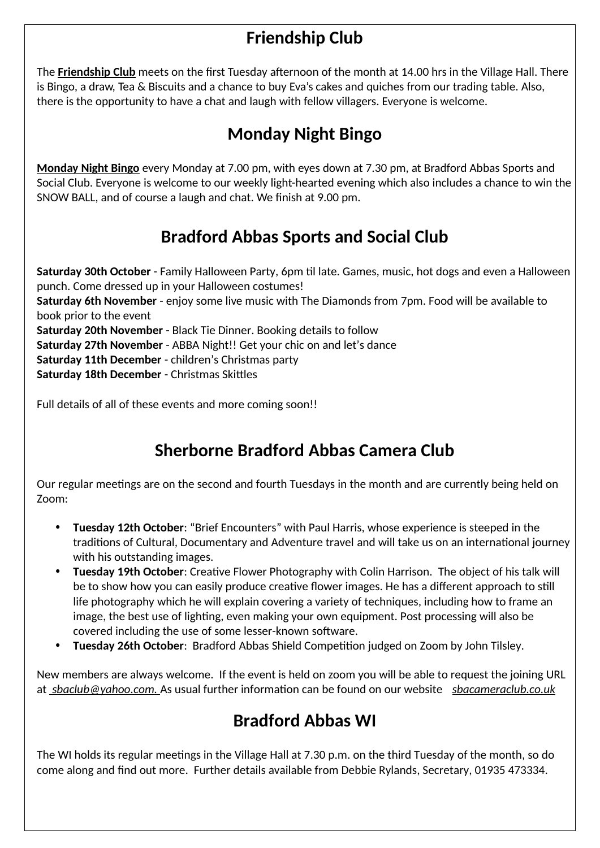# **Friendship Club**

The **Friendship Club** meets on the first Tuesday afternoon of the month at 14.00 hrs in the Village Hall. There is Bingo, a draw, Tea & Biscuits and a chance to buy Eva's cakes and quiches from our trading table. Also, there is the opportunity to have a chat and laugh with fellow villagers. Everyone is welcome.

# **Monday Night Bingo**

**Monday Night Bingo** every Monday at 7.00 pm, with eyes down at 7.30 pm, at Bradford Abbas Sports and Social Club. Everyone is welcome to our weekly light-hearted evening which also includes a chance to win the SNOW BALL, and of course a laugh and chat. We finish at 9.00 pm.

## **Bradford Abbas Sports and Social Club**

**Saturday 30th October** - Family Halloween Party, 6pm til late. Games, music, hot dogs and even a Halloween punch. Come dressed up in your Halloween costumes! **Saturday 6th November** - enjoy some live music with The Diamonds from 7pm. Food will be available to book prior to the event **Saturday 20th November** - Black Tie Dinner. Booking details to follow **Saturday 27th November** - ABBA Night!! Get your chic on and let's dance **Saturday 11th December** - children's Christmas party **Saturday 18th December** - Christmas Skittles

Full details of all of these events and more coming soon!!

## **Sherborne Bradford Abbas Camera Club**

Our regular meetings are on the second and fourth Tuesdays in the month and are currently being held on Zoom:

- **Tuesday 12th October**: "Brief Encounters" with Paul Harris, whose experience is steeped in the traditions of Cultural, Documentary and Adventure travel and will take us on an international journey with his outstanding images.
- **Tuesday 19th October**: Creative Flower Photography with Colin Harrison. The object of his talk will be to show how you can easily produce creative flower images. He has a different approach to still life photography which he will explain covering a variety of techniques, including how to frame an image, the best use of lighting, even making your own equipment. Post processing will also be covered including the use of some lesser-known software.
- **Tuesday 26th October**: Bradford Abbas Shield Competition judged on Zoom by John Tilsley.

New members are always welcome. If the event is held on zoom you will be able to request the joining URL at *sbaclub@yahoo.com.* As usual further information can be found on our website *[sbacameraclub.co.uk](http://sbacameraclub.co.uk/)*

## **Bradford Abbas WI**

The WI holds its regular meetings in the Village Hall at 7.30 p.m. on the third Tuesday of the month, so do come along and find out more. Further details available from Debbie Rylands, Secretary, 01935 473334.